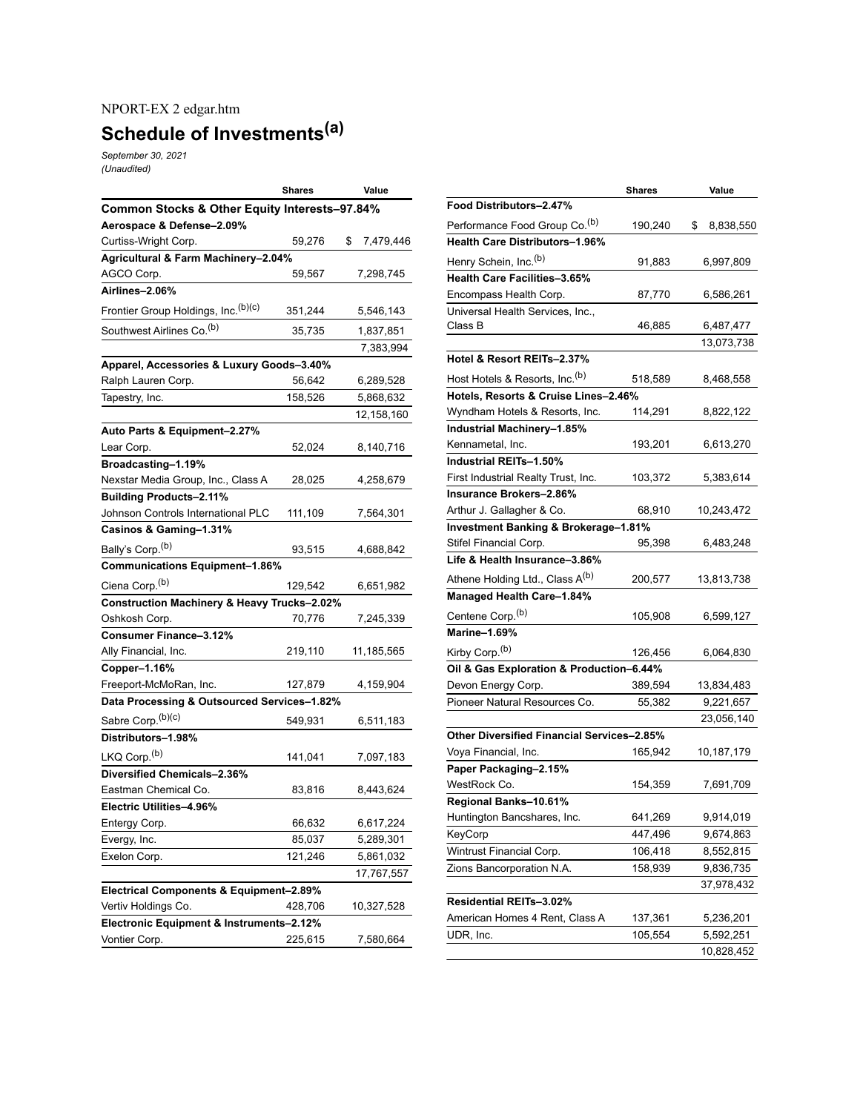## NPORT-EX 2 edgar.htm

## **Schedule of Investments (a)**

*September 30, 2021 (Unaudited)*

|                                                        | Shares  | Value           |  |  |
|--------------------------------------------------------|---------|-----------------|--|--|
| Common Stocks & Other Equity Interests-97.84%          |         |                 |  |  |
| Aerospace & Defense-2.09%                              |         |                 |  |  |
| Curtiss-Wright Corp.                                   | 59,276  | \$<br>7,479,446 |  |  |
| Agricultural & Farm Machinery-2.04%                    |         |                 |  |  |
| AGCO Corp.                                             | 59,567  | 7,298,745       |  |  |
| Airlines-2.06%                                         |         |                 |  |  |
| Frontier Group Holdings, Inc. (b)(c)                   | 351,244 | 5,546,143       |  |  |
| Southwest Airlines Co. <sup>(b)</sup>                  | 35,735  | 1,837,851       |  |  |
|                                                        |         | 7,383,994       |  |  |
| Apparel, Accessories & Luxury Goods-3.40%              |         |                 |  |  |
| Ralph Lauren Corp.                                     | 56,642  | 6,289,528       |  |  |
| Tapestry, Inc.                                         | 158,526 | 5,868,632       |  |  |
|                                                        |         | 12,158,160      |  |  |
| Auto Parts & Equipment-2.27%                           |         |                 |  |  |
| Lear Corp.                                             | 52,024  | 8,140,716       |  |  |
| Broadcasting-1.19%                                     |         |                 |  |  |
| Nexstar Media Group, Inc., Class A                     | 28,025  | 4,258,679       |  |  |
| <b>Building Products-2.11%</b>                         |         |                 |  |  |
| Johnson Controls International PLC                     | 111,109 | 7,564,301       |  |  |
| Casinos & Gaming-1.31%                                 |         |                 |  |  |
| Bally's Corp. <sup>(b)</sup>                           | 93,515  | 4,688,842       |  |  |
| <b>Communications Equipment-1.86%</b>                  |         |                 |  |  |
| Ciena Corp. <sup>(b)</sup>                             | 129,542 | 6,651,982       |  |  |
| <b>Construction Machinery &amp; Heavy Trucks-2.02%</b> |         |                 |  |  |
| Oshkosh Corp.                                          | 70,776  | 7,245,339       |  |  |
| <b>Consumer Finance-3.12%</b>                          |         |                 |  |  |
| Ally Financial, Inc.                                   | 219,110 | 11,185,565      |  |  |
| Copper-1.16%                                           |         |                 |  |  |
| Freeport-McMoRan, Inc.                                 | 127,879 | 4,159,904       |  |  |
| Data Processing & Outsourced Services-1.82%            |         |                 |  |  |
| Sabre Corp. <sup>(b)(c)</sup>                          | 549,931 | 6,511,183       |  |  |
| Distributors-1.98%                                     |         |                 |  |  |
| LKQ Corp. <sup>(b)</sup>                               | 141,041 | 7,097,183       |  |  |
| Diversified Chemicals-2.36%                            |         |                 |  |  |
| Eastman Chemical Co.                                   | 83,816  | 8,443,624       |  |  |
| Electric Utilities-4.96%                               |         |                 |  |  |
| Entergy Corp.                                          | 66,632  | 6,617,224       |  |  |
| Evergy, Inc.                                           | 85,037  | 5,289,301       |  |  |
| Exelon Corp.                                           | 121,246 | 5,861,032       |  |  |
|                                                        |         | 17,767,557      |  |  |
| Electrical Components & Equipment-2.89%                |         |                 |  |  |
| Vertiv Holdings Co.                                    | 428,706 | 10,327,528      |  |  |
| Electronic Equipment & Instruments-2.12%               |         |                 |  |  |
| Vontier Corp.                                          | 225,615 | 7,580,664       |  |  |

|                                                   | <b>Shares</b> | Value           |  |  |
|---------------------------------------------------|---------------|-----------------|--|--|
| Food Distributors-2.47%                           |               |                 |  |  |
| Performance Food Group Co. <sup>(b)</sup>         | 190,240       | \$<br>8,838,550 |  |  |
| Health Care Distributors-1.96%                    |               |                 |  |  |
| Henry Schein, Inc. <sup>(b)</sup>                 | 91,883        | 6,997,809       |  |  |
| Health Care Facilities-3.65%                      |               |                 |  |  |
| Encompass Health Corp.                            | 87,770        | 6,586,261       |  |  |
| Universal Health Services, Inc.,                  |               |                 |  |  |
| Class B                                           | 46,885        | 6,487,477       |  |  |
|                                                   |               | 13,073,738      |  |  |
| Hotel & Resort REITs-2.37%                        |               |                 |  |  |
| Host Hotels & Resorts, Inc. <sup>(b)</sup>        | 518,589       | 8,468,558       |  |  |
| Hotels, Resorts & Cruise Lines-2.46%              |               |                 |  |  |
| Wyndham Hotels & Resorts, Inc.                    | 114,291       | 8,822,122       |  |  |
| Industrial Machinery-1.85%                        |               |                 |  |  |
| Kennametal, Inc.                                  | 193,201       | 6,613,270       |  |  |
| Industrial REITs-1.50%                            |               |                 |  |  |
| First Industrial Realty Trust, Inc.               | 103,372       | 5,383,614       |  |  |
| Insurance Brokers-2.86%                           |               |                 |  |  |
| Arthur J. Gallagher & Co.                         | 68,910        | 10,243,472      |  |  |
| Investment Banking & Brokerage-1.81%              |               |                 |  |  |
| Stifel Financial Corp.                            | 95,398        | 6,483,248       |  |  |
| Life & Health Insurance-3.86%                     |               |                 |  |  |
| Athene Holding Ltd., Class A <sup>(b)</sup>       | 200,577       | 13,813,738      |  |  |
| Managed Health Care-1.84%                         |               |                 |  |  |
| Centene Corp. <sup>(b)</sup>                      | 105,908       | 6,599,127       |  |  |
| Marine-1.69%                                      |               |                 |  |  |
| Kirby Corp. <sup>(b)</sup>                        | 126,456       | 6,064,830       |  |  |
| Oil & Gas Exploration & Production-6.44%          |               |                 |  |  |
| Devon Energy Corp.                                | 389,594       | 13,834,483      |  |  |
| Pioneer Natural Resources Co.                     | 55,382        |                 |  |  |
|                                                   |               | 23,056,140      |  |  |
| <b>Other Diversified Financial Services-2.85%</b> |               |                 |  |  |
| Voya Financial, Inc.                              | 165,942       | 10,187,179      |  |  |
| Paper Packaging-2.15%                             |               |                 |  |  |
| WestRock Co.                                      | 154,359       | 7,691,709       |  |  |
| Regional Banks-10.61%                             |               |                 |  |  |
| Huntington Bancshares, Inc.                       | 641,269       | 9,914,019       |  |  |
| KeyCorp                                           | 447,496       | 9,674,863       |  |  |
| Wintrust Financial Corp.                          | 106,418       | 8,552,815       |  |  |
| Zions Bancorporation N.A.                         | 158,939       | 9,836,735       |  |  |
|                                                   |               | 37,978,432      |  |  |
| Residential REITs-3.02%                           |               |                 |  |  |
| American Homes 4 Rent, Class A                    | 137,361       | 5,236,201       |  |  |
| UDR, Inc.                                         | 105,554       | 5,592,251       |  |  |
|                                                   |               | 10,828,452      |  |  |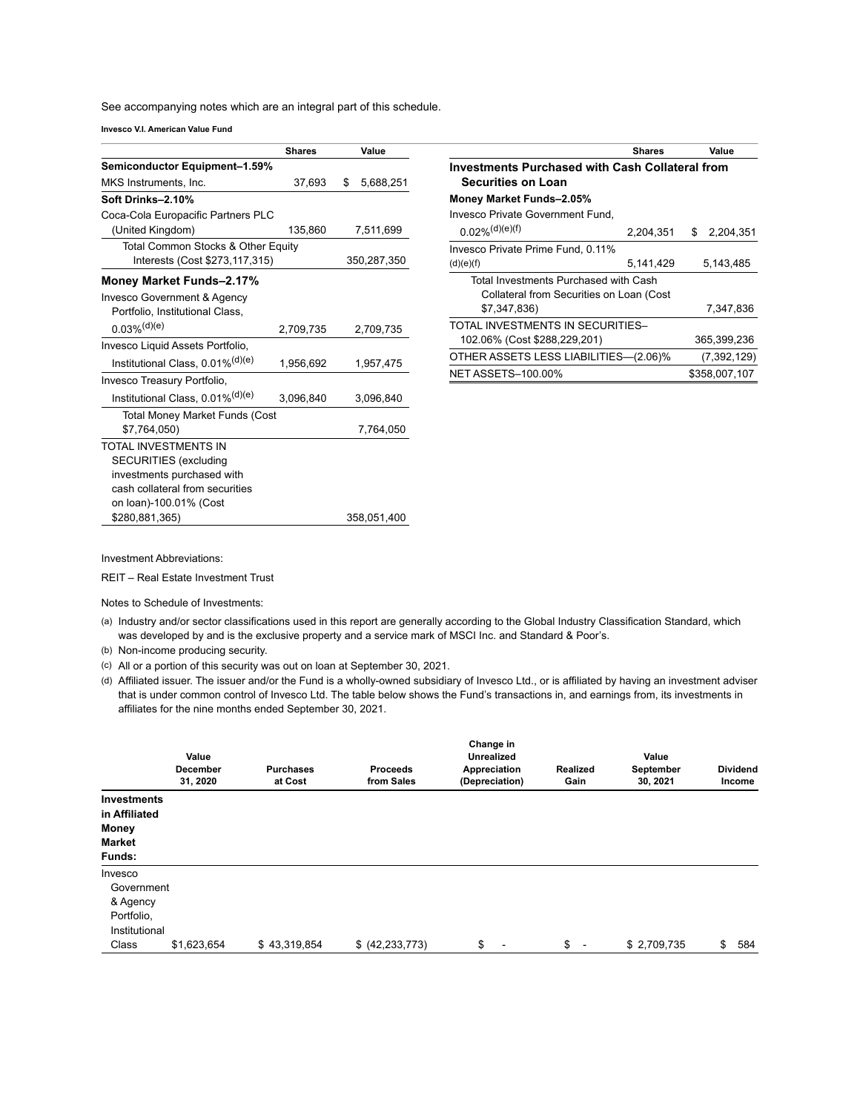See accompanying notes which are an integral part of this schedule.

**Invesco V.I. American Value Fund**

|                                              | Shares    | Value           |
|----------------------------------------------|-----------|-----------------|
| Semiconductor Equipment-1.59%                |           |                 |
| MKS Instruments, Inc.                        | 37,693    | \$<br>5,688,251 |
| Soft Drinks-2.10%                            |           |                 |
| Coca-Cola Europacific Partners PLC           |           |                 |
| (United Kingdom)                             | 135,860   | 7,511,699       |
| Total Common Stocks & Other Equity           |           |                 |
| Interests (Cost \$273,117,315)               |           | 350,287,350     |
| Money Market Funds-2.17%                     |           |                 |
| Invesco Government & Agency                  |           |                 |
| Portfolio, Institutional Class,              |           |                 |
| $0.03\%$ <sup>(d)(e)</sup>                   | 2,709,735 | 2,709,735       |
| Invesco Liquid Assets Portfolio,             |           |                 |
| Institutional Class, 0.01% <sup>(d)(e)</sup> | 1,956,692 | 1,957,475       |
| Invesco Treasury Portfolio,                  |           |                 |
| Institutional Class, 0.01% <sup>(d)(e)</sup> | 3,096,840 | 3,096,840       |
| <b>Total Money Market Funds (Cost</b>        |           |                 |
| \$7.764.050)                                 |           | 7,764,050       |
| TOTAL INVESTMENTS IN                         |           |                 |
| <b>SECURITIES</b> (excluding                 |           |                 |
| investments purchased with                   |           |                 |
| cash collateral from securities              |           |                 |
| on loan)-100.01% (Cost                       |           |                 |
| \$280,881,365)                               |           | 358,051,400     |

|                                                        | <b>Shares</b> |    | Value         |  |  |  |
|--------------------------------------------------------|---------------|----|---------------|--|--|--|
| <b>Investments Purchased with Cash Collateral from</b> |               |    |               |  |  |  |
| <b>Securities on Loan</b>                              |               |    |               |  |  |  |
| Money Market Funds-2.05%                               |               |    |               |  |  |  |
| Invesco Private Government Fund.                       |               |    |               |  |  |  |
| $0.02\%$ <sup>(d)(e)(f)</sup>                          | 2,204,351     | \$ | 2,204,351     |  |  |  |
| Invesco Private Prime Fund, 0.11%                      |               |    |               |  |  |  |
| (d)(e)(f)                                              | 5,141,429     |    | 5,143,485     |  |  |  |
| Total Investments Purchased with Cash                  |               |    |               |  |  |  |
| Collateral from Securities on Loan (Cost               |               |    |               |  |  |  |
| \$7,347,836)                                           |               |    | 7,347,836     |  |  |  |
| TOTAL INVESTMENTS IN SECURITIES-                       |               |    |               |  |  |  |
| 102.06% (Cost \$288,229,201)                           |               |    | 365,399,236   |  |  |  |
| OTHER ASSETS LESS LIABILITIES-(2.06)%                  |               |    | (7, 392, 129) |  |  |  |
| <b>NET ASSETS-100.00%</b>                              |               |    | \$358,007,107 |  |  |  |

Investment Abbreviations:

REIT – Real Estate Investment Trust

Notes to Schedule of Investments:

(a) Industry and/or sector classifications used in this report are generally according to the Global Industry Classification Standard, which was developed by and is the exclusive property and a service mark of MSCI Inc. and Standard & Poor's.

(b) Non-income producing security.

(c) All or a portion of this security was out on loan at September 30, 2021.

(d) Affiliated issuer. The issuer and/or the Fund is a wholly-owned subsidiary of Invesco Ltd., or is affiliated by having an investment adviser that is under common control of Invesco Ltd. The table below shows the Fund's transactions in, and earnings from, its investments in affiliates for the nine months ended September 30, 2021.

|                                     | Value<br><b>December</b><br>31, 2020 | <b>Purchases</b><br>at Cost | <b>Proceeds</b><br>from Sales | Change in<br><b>Unrealized</b><br>Appreciation<br>(Depreciation) | Realized<br>Gain | Value<br>September<br>30, 2021 | <b>Dividend</b><br>Income |
|-------------------------------------|--------------------------------------|-----------------------------|-------------------------------|------------------------------------------------------------------|------------------|--------------------------------|---------------------------|
| <b>Investments</b><br>in Affiliated |                                      |                             |                               |                                                                  |                  |                                |                           |
| Money                               |                                      |                             |                               |                                                                  |                  |                                |                           |
| <b>Market</b>                       |                                      |                             |                               |                                                                  |                  |                                |                           |
| Funds:                              |                                      |                             |                               |                                                                  |                  |                                |                           |
| Invesco                             |                                      |                             |                               |                                                                  |                  |                                |                           |
| Government                          |                                      |                             |                               |                                                                  |                  |                                |                           |
| & Agency                            |                                      |                             |                               |                                                                  |                  |                                |                           |
| Portfolio,                          |                                      |                             |                               |                                                                  |                  |                                |                           |
| Institutional                       |                                      |                             |                               |                                                                  |                  |                                |                           |
| Class                               | \$1,623,654                          | \$43,319,854                | \$ (42, 233, 773)             | \$                                                               | $\frac{1}{2}$ -  | \$2,709,735                    | \$<br>584                 |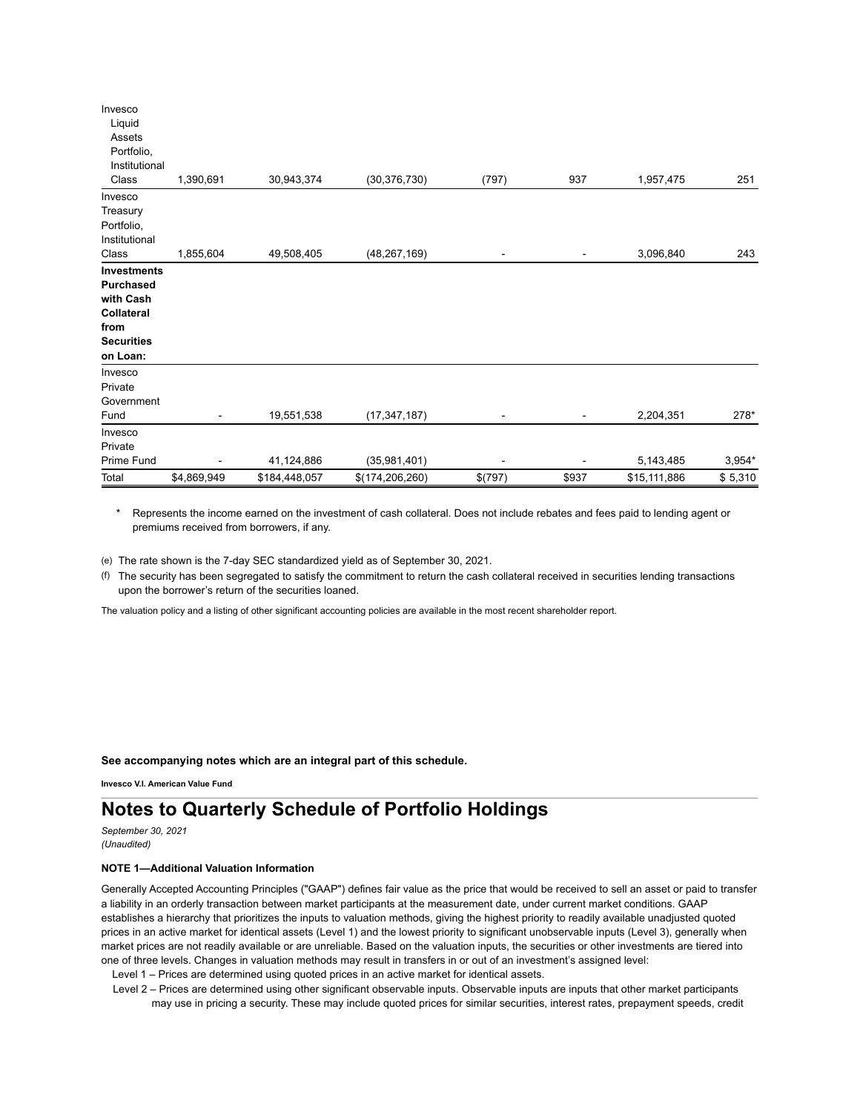| Invesco            |             |               |                   |         |       |              |          |
|--------------------|-------------|---------------|-------------------|---------|-------|--------------|----------|
| Liquid             |             |               |                   |         |       |              |          |
| Assets             |             |               |                   |         |       |              |          |
| Portfolio,         |             |               |                   |         |       |              |          |
| Institutional      |             |               |                   |         |       |              |          |
| Class              | 1,390,691   | 30,943,374    | (30, 376, 730)    | (797)   | 937   | 1,957,475    | 251      |
| Invesco            |             |               |                   |         |       |              |          |
| Treasury           |             |               |                   |         |       |              |          |
| Portfolio,         |             |               |                   |         |       |              |          |
| Institutional      |             |               |                   |         |       |              |          |
| Class              | 1,855,604   | 49,508,405    | (48, 267, 169)    |         | ۰     | 3,096,840    | 243      |
| <b>Investments</b> |             |               |                   |         |       |              |          |
| <b>Purchased</b>   |             |               |                   |         |       |              |          |
| with Cash          |             |               |                   |         |       |              |          |
| Collateral         |             |               |                   |         |       |              |          |
| from               |             |               |                   |         |       |              |          |
| <b>Securities</b>  |             |               |                   |         |       |              |          |
| on Loan:           |             |               |                   |         |       |              |          |
| Invesco            |             |               |                   |         |       |              |          |
| Private            |             |               |                   |         |       |              |          |
| Government         |             |               |                   |         |       |              |          |
| Fund               |             | 19,551,538    | (17, 347, 187)    |         |       | 2,204,351    | 278*     |
| Invesco            |             |               |                   |         |       |              |          |
| Private            |             |               |                   |         |       |              |          |
| Prime Fund         |             | 41,124,886    | (35,981,401)      | ۰       |       | 5,143,485    | $3,954*$ |
| Total              | \$4,869,949 | \$184,448,057 | \$(174, 206, 260) | \$(797) | \$937 | \$15,111,886 | \$5,310  |

Represents the income earned on the investment of cash collateral. Does not include rebates and fees paid to lending agent or premiums received from borrowers, if any.

(e) The rate shown is the 7-day SEC standardized yield as of September 30, 2021.

(f) The security has been segregated to satisfy the commitment to return the cash collateral received in securities lending transactions upon the borrower's return of the securities loaned.

The valuation policy and a listing of other significant accounting policies are available in the most recent shareholder report.

**See accompanying notes which are an integral part of this schedule.**

**Invesco V.I. American Value Fund**

## **Notes to Quarterly Schedule of Portfolio Holdings**

*September 30, 2021 (Unaudited)*

## **NOTE 1—Additional Valuation Information**

Generally Accepted Accounting Principles ("GAAP") defines fair value as the price that would be received to sell an asset or paid to transfer a liability in an orderly transaction between market participants at the measurement date, under current market conditions. GAAP establishes a hierarchy that prioritizes the inputs to valuation methods, giving the highest priority to readily available unadjusted quoted prices in an active market for identical assets (Level 1) and the lowest priority to significant unobservable inputs (Level 3), generally when market prices are not readily available or are unreliable. Based on the valuation inputs, the securities or other investments are tiered into one of three levels. Changes in valuation methods may result in transfers in or out of an investment's assigned level:

Level 1 – Prices are determined using quoted prices in an active market for identical assets.

Level 2 – Prices are determined using other significant observable inputs. Observable inputs are inputs that other market participants may use in pricing a security. These may include quoted prices for similar securities, interest rates, prepayment speeds, credit